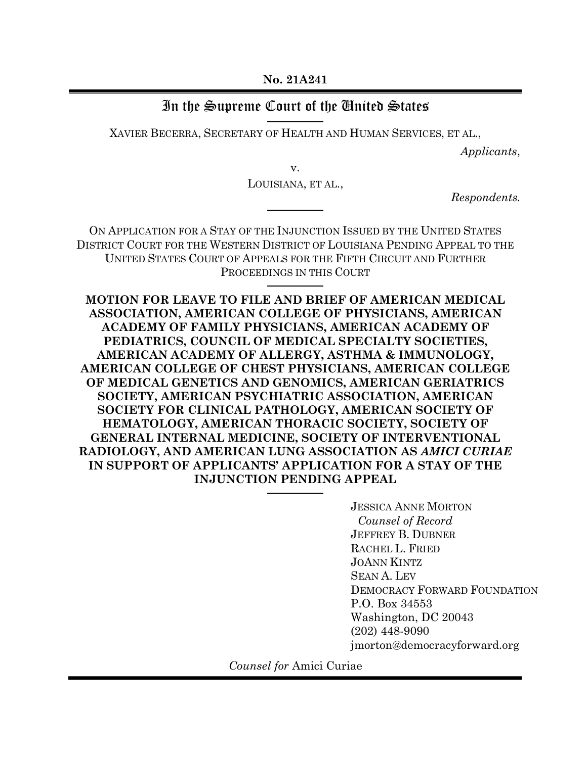**No. 21A241** 

## In the Supreme Court of the United States

XAVIER BECERRA, SECRETARY OF HEALTH AND HUMAN SERVICES, ET AL.,

*Applicants*,

v.

LOUISIANA, ET AL.,

*Respondents.*

ON APPLICATION FOR A STAY OF THE INJUNCTION ISSUED BY THE UNITED STATES DISTRICT COURT FOR THE WESTERN DISTRICT OF LOUISIANA PENDING APPEAL TO THE UNITED STATES COURT OF APPEALS FOR THE FIFTH CIRCUIT AND FURTHER PROCEEDINGS IN THIS COURT

**MOTION FOR LEAVE TO FILE AND BRIEF OF AMERICAN MEDICAL ASSOCIATION, AMERICAN COLLEGE OF PHYSICIANS, AMERICAN ACADEMY OF FAMILY PHYSICIANS, AMERICAN ACADEMY OF PEDIATRICS, COUNCIL OF MEDICAL SPECIALTY SOCIETIES, AMERICAN ACADEMY OF ALLERGY, ASTHMA & IMMUNOLOGY, AMERICAN COLLEGE OF CHEST PHYSICIANS, AMERICAN COLLEGE OF MEDICAL GENETICS AND GENOMICS, AMERICAN GERIATRICS SOCIETY, AMERICAN PSYCHIATRIC ASSOCIATION, AMERICAN SOCIETY FOR CLINICAL PATHOLOGY, AMERICAN SOCIETY OF HEMATOLOGY, AMERICAN THORACIC SOCIETY, SOCIETY OF GENERAL INTERNAL MEDICINE, SOCIETY OF INTERVENTIONAL RADIOLOGY, AND AMERICAN LUNG ASSOCIATION AS** *AMICI CURIAE* **IN SUPPORT OF APPLICANTS' APPLICATION FOR A STAY OF THE INJUNCTION PENDING APPEAL**

> JESSICA ANNE MORTON *Counsel of Record* JEFFREY B. DUBNER RACHEL L. FRIED JOANN KINTZ SEAN A. LEV DEMOCRACY FORWARD FOUNDATION P.O. Box 34553 Washington, DC 20043 (202) 448-9090 jmorton@democracyforward.org

*Counsel for* Amici Curiae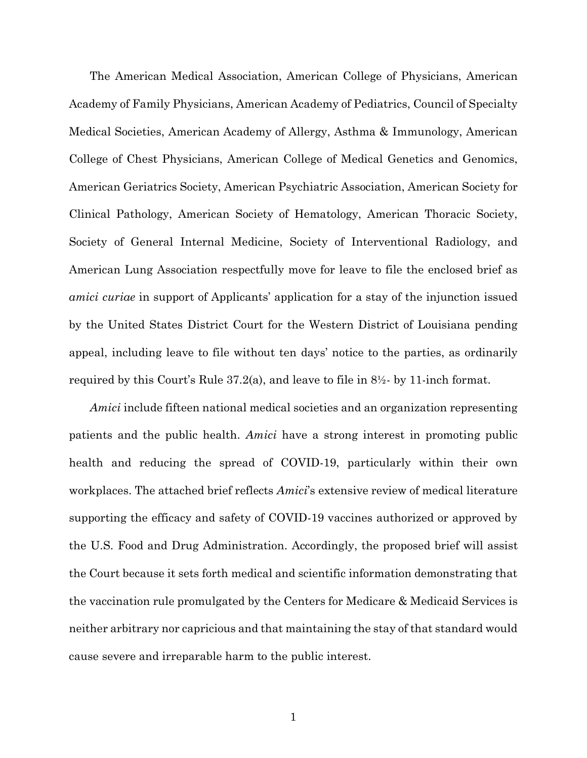The American Medical Association, American College of Physicians, American Academy of Family Physicians, American Academy of Pediatrics, Council of Specialty Medical Societies, American Academy of Allergy, Asthma & Immunology, American College of Chest Physicians, American College of Medical Genetics and Genomics, American Geriatrics Society, American Psychiatric Association, American Society for Clinical Pathology, American Society of Hematology, American Thoracic Society, Society of General Internal Medicine, Society of Interventional Radiology, and American Lung Association respectfully move for leave to file the enclosed brief as *amici curiae* in support of Applicants' application for a stay of the injunction issued by the United States District Court for the Western District of Louisiana pending appeal, including leave to file without ten days' notice to the parties, as ordinarily required by this Court's Rule 37.2(a), and leave to file in 8½- by 11-inch format.

*Amici* include fifteen national medical societies and an organization representing patients and the public health. *Amici* have a strong interest in promoting public health and reducing the spread of COVID-19, particularly within their own workplaces. The attached brief reflects *Amici*'s extensive review of medical literature supporting the efficacy and safety of COVID-19 vaccines authorized or approved by the U.S. Food and Drug Administration. Accordingly, the proposed brief will assist the Court because it sets forth medical and scientific information demonstrating that the vaccination rule promulgated by the Centers for Medicare & Medicaid Services is neither arbitrary nor capricious and that maintaining the stay of that standard would cause severe and irreparable harm to the public interest.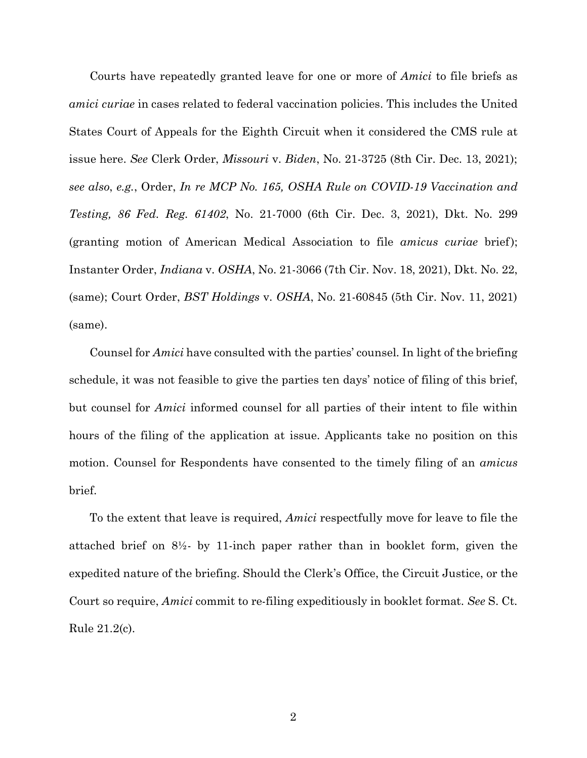Courts have repeatedly granted leave for one or more of *Amici* to file briefs as *amici curiae* in cases related to federal vaccination policies. This includes the United States Court of Appeals for the Eighth Circuit when it considered the CMS rule at issue here. *See* Clerk Order, *Missouri* v. *Biden*, No. 21-3725 (8th Cir. Dec. 13, 2021); *see also*, *e.g.*, Order, *In re MCP No. 165, OSHA Rule on COVID-19 Vaccination and Testing, 86 Fed. Reg. 61402*, No. 21-7000 (6th Cir. Dec. 3, 2021), Dkt. No. 299 (granting motion of American Medical Association to file *amicus curiae* brief); Instanter Order, *Indiana* v. *OSHA*, No. 21-3066 (7th Cir. Nov. 18, 2021), Dkt. No. 22, (same); Court Order, *BST Holdings* v. *OSHA*, No. 21-60845 (5th Cir. Nov. 11, 2021) (same).

Counsel for *Amici* have consulted with the parties' counsel. In light of the briefing schedule, it was not feasible to give the parties ten days' notice of filing of this brief, but counsel for *Amici* informed counsel for all parties of their intent to file within hours of the filing of the application at issue. Applicants take no position on this motion. Counsel for Respondents have consented to the timely filing of an *amicus* brief.

To the extent that leave is required, *Amici* respectfully move for leave to file the attached brief on 8½- by 11-inch paper rather than in booklet form, given the expedited nature of the briefing. Should the Clerk's Office, the Circuit Justice, or the Court so require, *Amici* commit to re-filing expeditiously in booklet format. *See* S. Ct. Rule 21.2(c).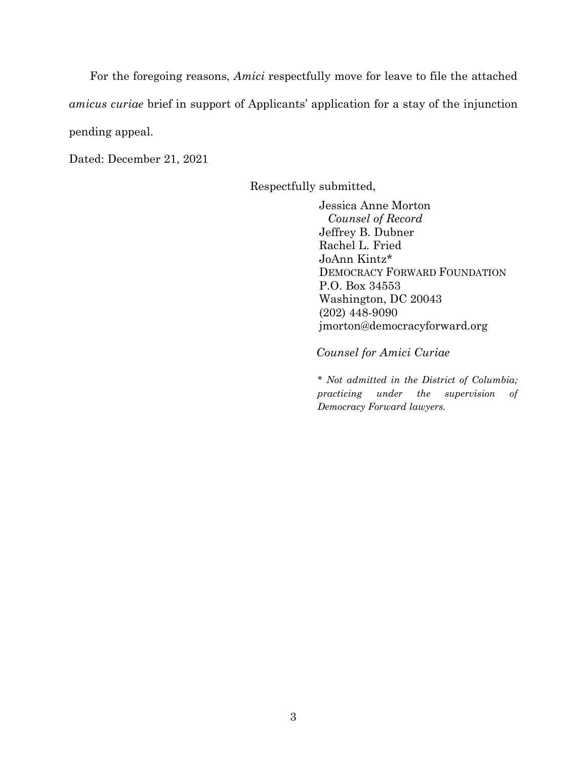For the foregoing reasons, *Amici* respectfully move for leave to file the attached *amicus curiae* brief in support of Applicants' application for a stay of the injunction pending appeal.

Dated: December 21, 2021

Respectfully submitted,

Jessica Anne Morton *Counsel of Record* Jeffrey B. Dubner Rachel L. Fried JoAnn Kintz\* DEMOCRACY FORWARD FOUNDATION P.O. Box 34553 Washington, DC 20043 (202) 448-9090 jmorton@democracyforward.org

*Counsel for Amici Curiae*

*\* Not admitted in the District of Columbia; practicing under the supervision of Democracy Forward lawyers.*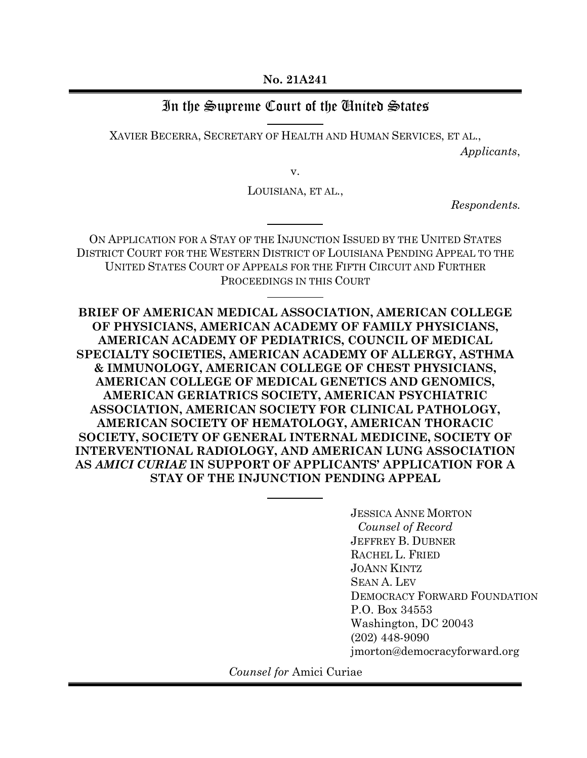# In the Supreme Court of the United States

XAVIER BECERRA, SECRETARY OF HEALTH AND HUMAN SERVICES, ET AL., *Applicants*,

v.

LOUISIANA, ET AL.,

*Respondents.*

ON APPLICATION FOR A STAY OF THE INJUNCTION ISSUED BY THE UNITED STATES DISTRICT COURT FOR THE WESTERN DISTRICT OF LOUISIANA PENDING APPEAL TO THE UNITED STATES COURT OF APPEALS FOR THE FIFTH CIRCUIT AND FURTHER PROCEEDINGS IN THIS COURT

**BRIEF OF AMERICAN MEDICAL ASSOCIATION, AMERICAN COLLEGE OF PHYSICIANS, AMERICAN ACADEMY OF FAMILY PHYSICIANS, AMERICAN ACADEMY OF PEDIATRICS, COUNCIL OF MEDICAL SPECIALTY SOCIETIES, AMERICAN ACADEMY OF ALLERGY, ASTHMA & IMMUNOLOGY, AMERICAN COLLEGE OF CHEST PHYSICIANS, AMERICAN COLLEGE OF MEDICAL GENETICS AND GENOMICS, AMERICAN GERIATRICS SOCIETY, AMERICAN PSYCHIATRIC ASSOCIATION, AMERICAN SOCIETY FOR CLINICAL PATHOLOGY, AMERICAN SOCIETY OF HEMATOLOGY, AMERICAN THORACIC SOCIETY, SOCIETY OF GENERAL INTERNAL MEDICINE, SOCIETY OF INTERVENTIONAL RADIOLOGY, AND AMERICAN LUNG ASSOCIATION AS** *AMICI CURIAE* **IN SUPPORT OF APPLICANTS' APPLICATION FOR A STAY OF THE INJUNCTION PENDING APPEAL**

> JESSICA ANNE MORTON *Counsel of Record* JEFFREY B. DUBNER RACHEL L. FRIED JOANN KINTZ SEAN A. LEV DEMOCRACY FORWARD FOUNDATION P.O. Box 34553 Washington, DC 20043 (202) 448-9090 jmorton@democracyforward.org

*Counsel for* Amici Curiae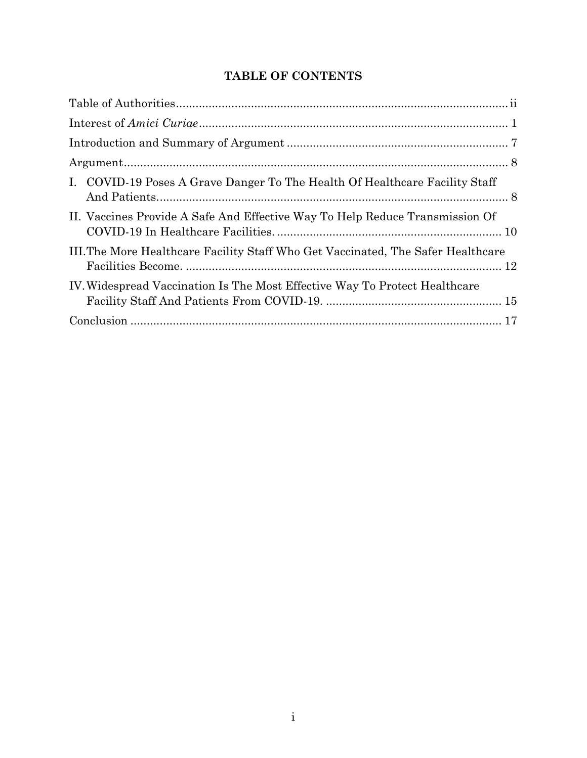## **TABLE OF CONTENTS**

| I. COVID-19 Poses A Grave Danger To The Health Of Healthcare Facility Staff      |  |
|----------------------------------------------------------------------------------|--|
| II. Vaccines Provide A Safe And Effective Way To Help Reduce Transmission Of     |  |
| III. The More Healthcare Facility Staff Who Get Vaccinated, The Safer Healthcare |  |
| IV. Widespread Vaccination Is The Most Effective Way To Protect Healthcare       |  |
|                                                                                  |  |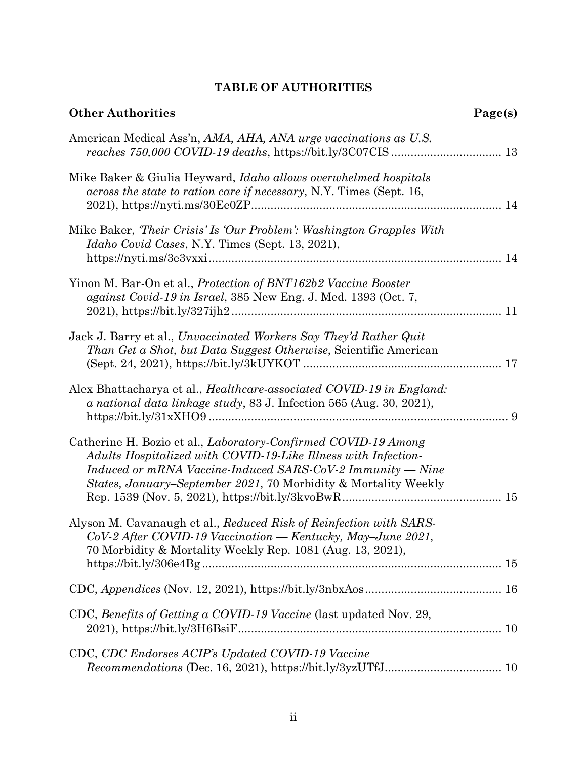## **TABLE OF AUTHORITIES**

| <b>Other Authorities</b>                                                                                                                                                                                                                                                            | Page(s) |
|-------------------------------------------------------------------------------------------------------------------------------------------------------------------------------------------------------------------------------------------------------------------------------------|---------|
| American Medical Ass'n, AMA, AHA, ANA urge vaccinations as U.S.                                                                                                                                                                                                                     |         |
| Mike Baker & Giulia Heyward, <i>Idaho allows overwhelmed hospitals</i><br>across the state to ration care if necessary, N.Y. Times (Sept. 16,                                                                                                                                       |         |
| Mike Baker, <i>Their Crisis' Is 'Our Problem': Washington Grapples With</i><br>Idaho Covid Cases, N.Y. Times (Sept. 13, 2021),                                                                                                                                                      |         |
| Yinon M. Bar-On et al., <i>Protection of BNT162b2 Vaccine Booster</i><br>against Covid-19 in Israel, 385 New Eng. J. Med. 1393 (Oct. 7,                                                                                                                                             |         |
| Jack J. Barry et al., Unvaccinated Workers Say They'd Rather Quit<br><i>Than Get a Shot, but Data Suggest Otherwise, Scientific American</i>                                                                                                                                        |         |
| Alex Bhattacharya et al., <i>Healthcare-associated COVID-19 in England</i> :<br>a national data linkage study, 83 J. Infection 565 (Aug. 30, 2021),                                                                                                                                 |         |
| Catherine H. Bozio et al., <i>Laboratory-Confirmed COVID-19 Among</i><br>Adults Hospitalized with COVID-19-Like Illness with Infection-<br>Induced or mRNA Vaccine-Induced SARS-CoV-2 Immunity — Nine<br><i>States, January–September 2021, 70 Morbidity &amp; Mortality Weekly</i> |         |
| Alyson M. Cavanaugh et al., Reduced Risk of Reinfection with SARS-<br>CoV-2 After COVID-19 Vaccination - Kentucky, May-June 2021,<br>70 Morbidity & Mortality Weekly Rep. 1081 (Aug. 13, 2021),                                                                                     |         |
|                                                                                                                                                                                                                                                                                     |         |
| CDC, Benefits of Getting a COVID-19 Vaccine (last updated Nov. 29,                                                                                                                                                                                                                  |         |
| CDC, CDC Endorses ACIP's Updated COVID-19 Vaccine                                                                                                                                                                                                                                   |         |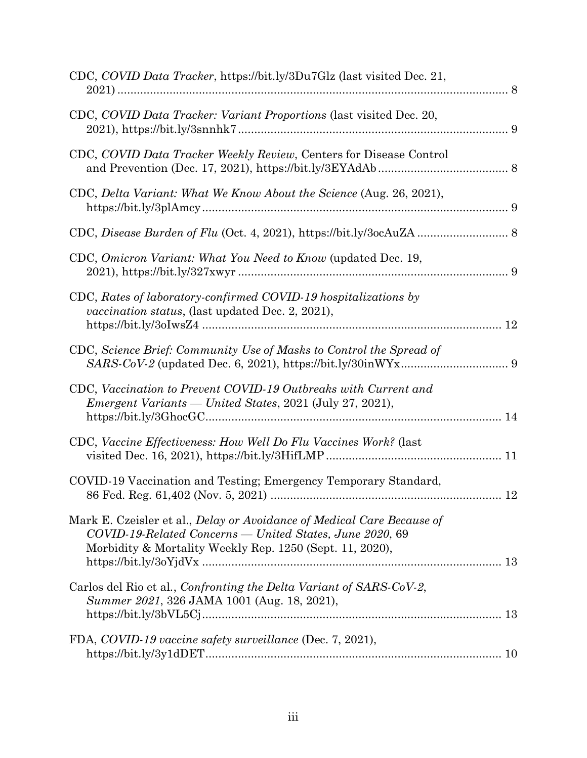| CDC, COVID Data Tracker, https://bit.ly/3Du7Glz (last visited Dec. 21,                                                                                                                         |             |
|------------------------------------------------------------------------------------------------------------------------------------------------------------------------------------------------|-------------|
| CDC, COVID Data Tracker: Variant Proportions (last visited Dec. 20,                                                                                                                            |             |
| CDC, COVID Data Tracker Weekly Review, Centers for Disease Control                                                                                                                             |             |
| CDC, Delta Variant: What We Know About the Science (Aug. 26, 2021),                                                                                                                            |             |
|                                                                                                                                                                                                |             |
| CDC, Omicron Variant: What You Need to Know (updated Dec. 19,                                                                                                                                  |             |
| CDC, Rates of laboratory-confirmed COVID-19 hospitalizations by<br><i>vaccination status</i> , (last updated Dec. 2, 2021),                                                                    |             |
| CDC, Science Brief: Community Use of Masks to Control the Spread of                                                                                                                            |             |
| CDC, Vaccination to Prevent COVID-19 Outbreaks with Current and<br>Emergent Variants — United States, 2021 (July 27, 2021),                                                                    |             |
| CDC, Vaccine Effectiveness: How Well Do Flu Vaccines Work? (last                                                                                                                               |             |
| COVID-19 Vaccination and Testing; Emergency Temporary Standard,                                                                                                                                | $\ldots$ 12 |
| Mark E. Czeisler et al., Delay or Avoidance of Medical Care Because of<br>COVID-19-Related Concerns — United States, June 2020, 69<br>Morbidity & Mortality Weekly Rep. 1250 (Sept. 11, 2020), |             |
| Carlos del Rio et al., Confronting the Delta Variant of SARS-CoV-2,<br>Summer 2021, 326 JAMA 1001 (Aug. 18, 2021),                                                                             |             |
| FDA, COVID-19 vaccine safety surveillance (Dec. 7, 2021),                                                                                                                                      |             |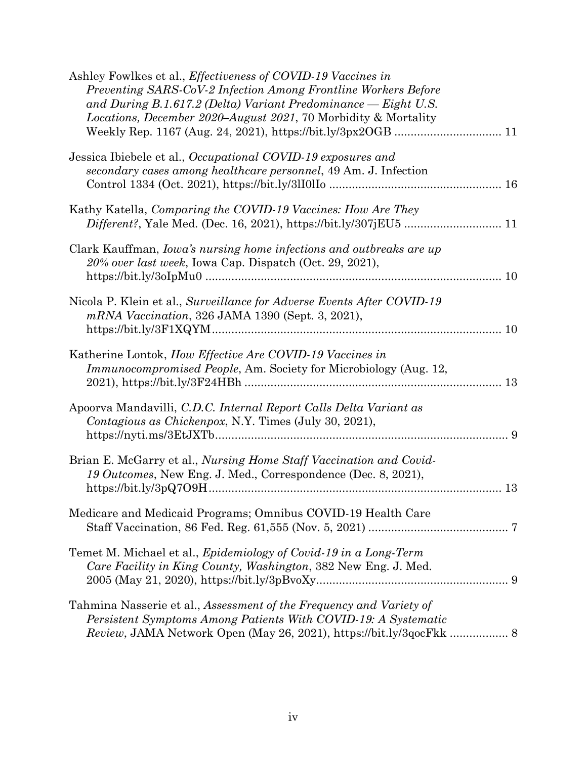| Ashley Fowlkes et al., <i>Effectiveness of COVID-19 Vaccines in</i><br>Preventing SARS-CoV-2 Infection Among Frontline Workers Before<br>and During B.1.617.2 (Delta) Variant Predominance - Eight U.S.<br>Locations, December 2020–August 2021, 70 Morbidity & Mortality |  |
|---------------------------------------------------------------------------------------------------------------------------------------------------------------------------------------------------------------------------------------------------------------------------|--|
| Jessica Ibiebele et al., Occupational COVID-19 exposures and<br>secondary cases among healthcare personnel, 49 Am. J. Infection                                                                                                                                           |  |
| Kathy Katella, Comparing the COVID-19 Vaccines: How Are They                                                                                                                                                                                                              |  |
| Clark Kauffman, <i>Iowa's nursing home infections and outbreaks are up</i><br>20% over last week, Iowa Cap. Dispatch (Oct. 29, 2021),                                                                                                                                     |  |
| Nicola P. Klein et al., Surveillance for Adverse Events After COVID-19<br>mRNA Vaccination, 326 JAMA 1390 (Sept. 3, 2021),                                                                                                                                                |  |
| Katherine Lontok, How Effective Are COVID-19 Vaccines in<br><i>Immunocompromised People, Am. Society for Microbiology (Aug. 12,</i>                                                                                                                                       |  |
| Apoorva Mandavilli, C.D.C. Internal Report Calls Delta Variant as<br>Contagious as Chickenpox, N.Y. Times (July 30, 2021),                                                                                                                                                |  |
| Brian E. McGarry et al., Nursing Home Staff Vaccination and Covid-<br>19 Outcomes, New Eng. J. Med., Correspondence (Dec. 8, 2021),                                                                                                                                       |  |
| Medicare and Medicaid Programs; Omnibus COVID-19 Health Care                                                                                                                                                                                                              |  |
| Temet M. Michael et al., <i>Epidemiology of Covid-19 in a Long-Term</i><br>Care Facility in King County, Washington, 382 New Eng. J. Med.                                                                                                                                 |  |
| Tahmina Nasserie et al., Assessment of the Frequency and Variety of<br>Persistent Symptoms Among Patients With COVID-19: A Systematic<br>Review, JAMA Network Open (May 26, 2021), https://bit.ly/3qocFkk  8                                                              |  |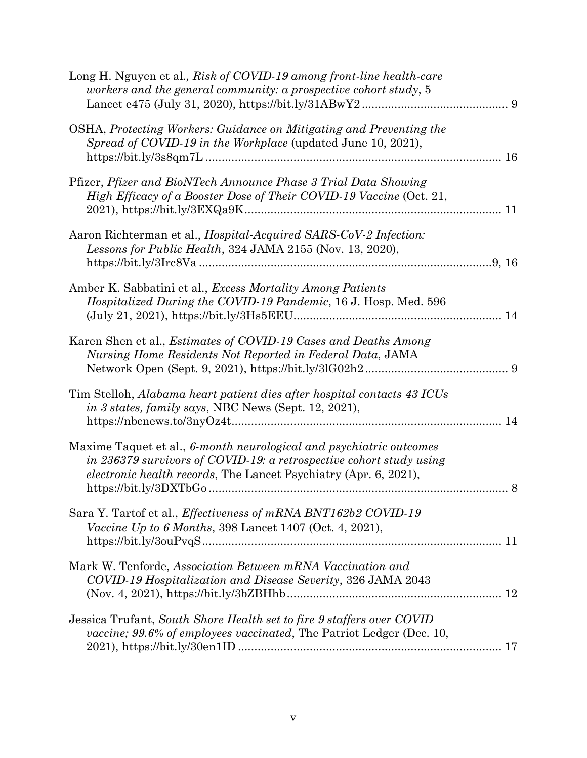| Long H. Nguyen et al., Risk of COVID-19 among front-line health-care<br>workers and the general community: a prospective cohort study, 5                                                                               |        |
|------------------------------------------------------------------------------------------------------------------------------------------------------------------------------------------------------------------------|--------|
| OSHA, Protecting Workers: Guidance on Mitigating and Preventing the<br>Spread of COVID-19 in the Workplace (updated June 10, 2021),                                                                                    | 16     |
| Pfizer, Pfizer and BioNTech Announce Phase 3 Trial Data Showing<br>High Efficacy of a Booster Dose of Their COVID-19 Vaccine (Oct. 21,                                                                                 |        |
| Aaron Richterman et al., <i>Hospital-Acquired SARS-CoV-2 Infection</i> :<br>Lessons for Public Health, 324 JAMA 2155 (Nov. 13, 2020),                                                                                  | .9, 16 |
| Amber K. Sabbatini et al., <i>Excess Mortality Among Patients</i><br>Hospitalized During the COVID-19 Pandemic, 16 J. Hosp. Med. 596                                                                                   |        |
| Karen Shen et al., Estimates of COVID-19 Cases and Deaths Among<br>Nursing Home Residents Not Reported in Federal Data, JAMA                                                                                           |        |
| Tim Stelloh, Alabama heart patient dies after hospital contacts 43 ICUs<br>in 3 states, family says, NBC News (Sept. 12, 2021),                                                                                        | 14     |
| Maxime Taquet et al., 6-month neurological and psychiatric outcomes<br>in 236379 survivors of COVID-19: a retrospective cohort study using<br><i>electronic health records</i> , The Lancet Psychiatry (Apr. 6, 2021), | 8      |
| Sara Y. Tartof et al., Effectiveness of mRNA BNT162b2 COVID-19<br><i>Vaccine Up to 6 Months, 398 Lancet 1407 (Oct. 4, 2021),</i>                                                                                       |        |
| Mark W. Tenforde, Association Between mRNA Vaccination and<br>COVID-19 Hospitalization and Disease Severity, 326 JAMA 2043                                                                                             |        |
| Jessica Trufant, South Shore Health set to fire 9 staffers over COVID<br>vaccine; 99.6% of employees vaccinated, The Patriot Ledger (Dec. 10,                                                                          |        |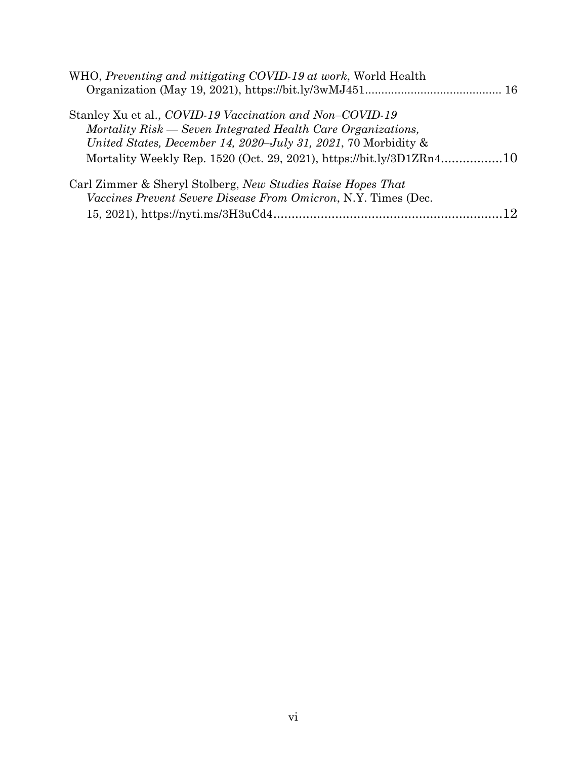| WHO, Preventing and mitigating COVID-19 at work, World Health         |  |
|-----------------------------------------------------------------------|--|
|                                                                       |  |
| Stanley Xu et al., COVID-19 Vaccination and Non-COVID-19              |  |
| Mortality Risk — Seven Integrated Health Care Organizations,          |  |
| United States, December 14, 2020–July 31, 2021, 70 Morbidity &        |  |
| Mortality Weekly Rep. 1520 (Oct. 29, 2021), https://bit.ly/3D1ZRn410  |  |
| Carl Zimmer & Sheryl Stolberg, New Studies Raise Hopes That           |  |
| <i>Vaccines Prevent Severe Disease From Omicron, N.Y. Times (Dec.</i> |  |
|                                                                       |  |
|                                                                       |  |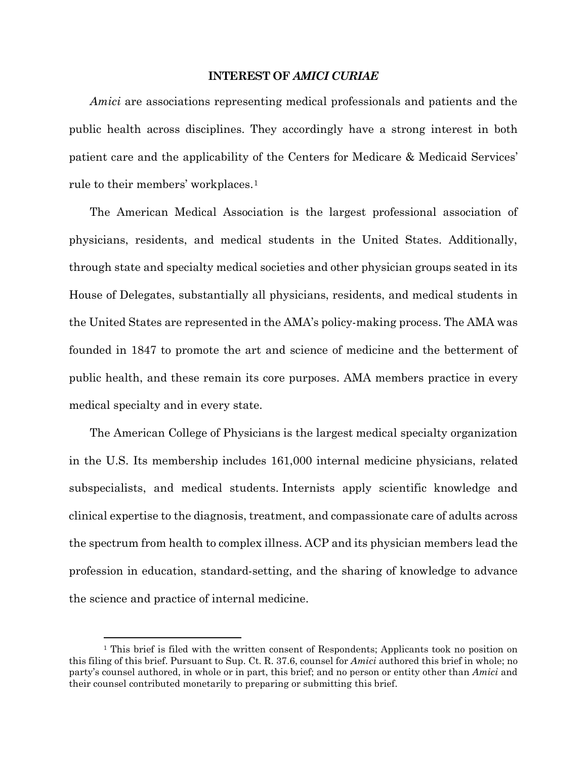#### **INTEREST OF** *AMICI CURIAE*

<span id="page-11-0"></span>*Amici* are associations representing medical professionals and patients and the public health across disciplines. They accordingly have a strong interest in both patient care and the applicability of the Centers for Medicare & Medicaid Services' rule to their members' workplaces.[1](#page-11-1)

The American Medical Association is the largest professional association of physicians, residents, and medical students in the United States. Additionally, through state and specialty medical societies and other physician groups seated in its House of Delegates, substantially all physicians, residents, and medical students in the United States are represented in the AMA's policy-making process. The AMA was founded in 1847 to promote the art and science of medicine and the betterment of public health, and these remain its core purposes. AMA members practice in every medical specialty and in every state.

The American College of Physicians is the largest medical specialty organization in the U.S. Its membership includes 161,000 internal medicine physicians, related subspecialists, and medical students. Internists apply scientific knowledge and clinical expertise to the diagnosis, treatment, and compassionate care of adults across the spectrum from health to complex illness. ACP and its physician members lead the profession in education, standard-setting, and the sharing of knowledge to advance the science and practice of internal medicine.

<span id="page-11-1"></span><sup>1</sup> This brief is filed with the written consent of Respondents; Applicants took no position on this filing of this brief. Pursuant to Sup. Ct. R. 37.6, counsel for *Amici* authored this brief in whole; no party's counsel authored, in whole or in part, this brief; and no person or entity other than *Amici* and their counsel contributed monetarily to preparing or submitting this brief.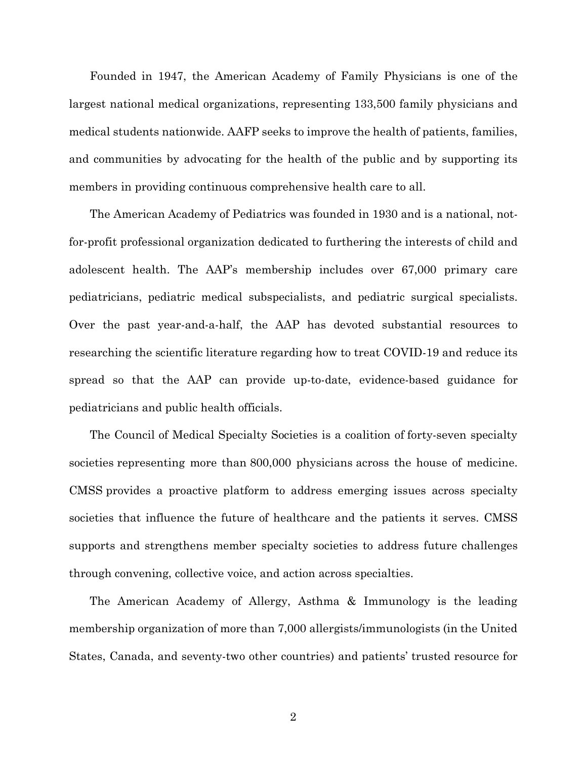Founded in 1947, the American Academy of Family Physicians is one of the largest national medical organizations, representing 133,500 family physicians and medical students nationwide. AAFP seeks to improve the health of patients, families, and communities by advocating for the health of the public and by supporting its members in providing continuous comprehensive health care to all.

The American Academy of Pediatrics was founded in 1930 and is a national, notfor-profit professional organization dedicated to furthering the interests of child and adolescent health. The AAP's membership includes over 67,000 primary care pediatricians, pediatric medical subspecialists, and pediatric surgical specialists. Over the past year-and-a-half, the AAP has devoted substantial resources to researching the scientific literature regarding how to treat COVID-19 and reduce its spread so that the AAP can provide up-to-date, evidence-based guidance for pediatricians and public health officials.

The Council of Medical Specialty Societies is a coalition of forty-seven specialty societies representing more than 800,000 physicians across the house of medicine. CMSS provides a proactive platform to address emerging issues across specialty societies that influence the future of healthcare and the patients it serves. CMSS supports and strengthens member specialty societies to address future challenges through convening, collective voice, and action across specialties.

The American Academy of Allergy, Asthma & Immunology is the leading membership organization of more than 7,000 allergists/immunologists (in the United States, Canada, and seventy-two other countries) and patients' trusted resource for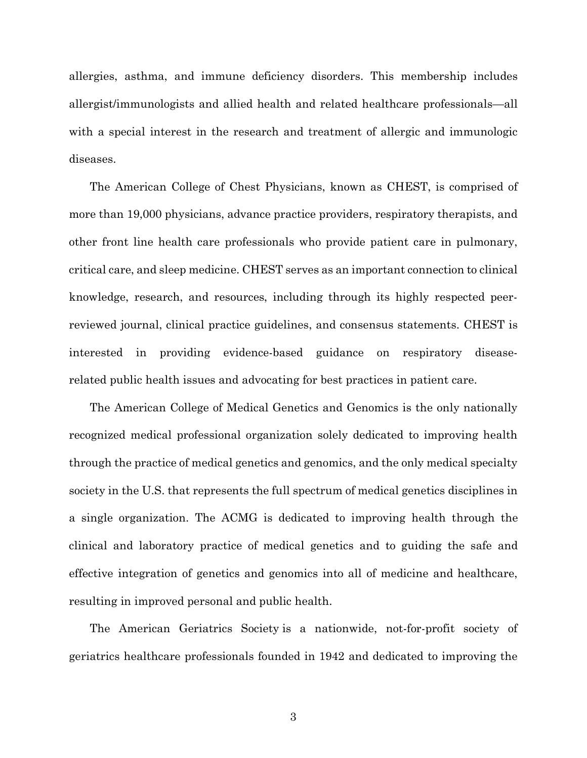allergies, asthma, and immune deficiency disorders. This membership includes allergist/immunologists and allied health and related healthcare professionals—all with a special interest in the research and treatment of allergic and immunologic diseases.

The American College of Chest Physicians, known as CHEST, is comprised of more than 19,000 physicians, advance practice providers, respiratory therapists, and other front line health care professionals who provide patient care in pulmonary, critical care, and sleep medicine. CHEST serves as an important connection to clinical knowledge, research, and resources, including through its highly respected peerreviewed journal, clinical practice guidelines, and consensus statements. CHEST is interested in providing evidence-based guidance on respiratory diseaserelated public health issues and advocating for best practices in patient care.

The American College of Medical Genetics and Genomics is the only nationally recognized medical professional organization solely dedicated to improving health through the practice of medical genetics and genomics, and the only medical specialty society in the U.S. that represents the full spectrum of medical genetics disciplines in a single organization. The ACMG is dedicated to improving health through the clinical and laboratory practice of medical genetics and to guiding the safe and effective integration of genetics and genomics into all of medicine and healthcare, resulting in improved personal and public health.

The American Geriatrics Society is a nationwide, not-for-profit society of geriatrics healthcare professionals founded in 1942 and dedicated to improving the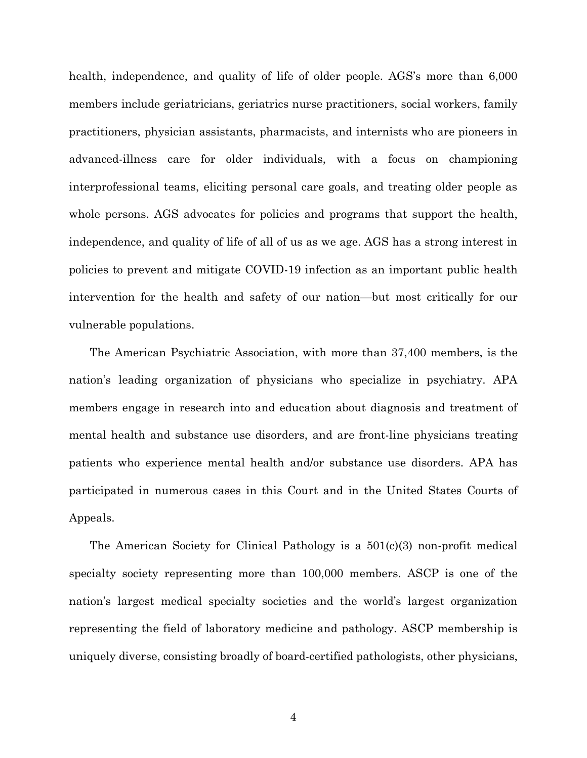health, independence, and quality of life of older people. AGS's more than 6,000 members include geriatricians, geriatrics nurse practitioners, social workers, family practitioners, physician assistants, pharmacists, and internists who are pioneers in advanced-illness care for older individuals, with a focus on championing interprofessional teams, eliciting personal care goals, and treating older people as whole persons. AGS advocates for policies and programs that support the health, independence, and quality of life of all of us as we age. AGS has a strong interest in policies to prevent and mitigate COVID-19 infection as an important public health intervention for the health and safety of our nation—but most critically for our vulnerable populations.

The American Psychiatric Association, with more than 37,400 members, is the nation's leading organization of physicians who specialize in psychiatry. APA members engage in research into and education about diagnosis and treatment of mental health and substance use disorders, and are front-line physicians treating patients who experience mental health and/or substance use disorders. APA has participated in numerous cases in this Court and in the United States Courts of Appeals.

The American Society for Clinical Pathology is a 501(c)(3) non-profit medical specialty society representing more than 100,000 members. ASCP is one of the nation's largest medical specialty societies and the world's largest organization representing the field of laboratory medicine and pathology. ASCP membership is uniquely diverse, consisting broadly of board-certified pathologists, other physicians,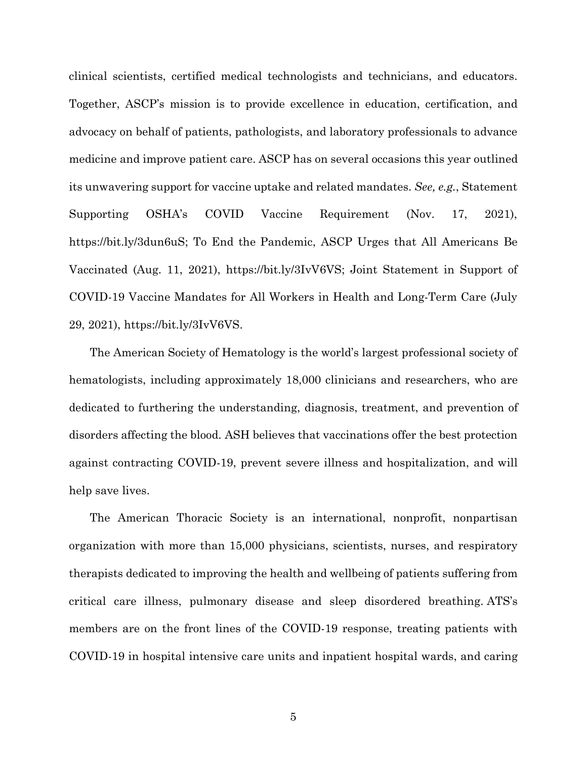clinical scientists, certified medical technologists and technicians, and educators. Together, ASCP's mission is to provide excellence in education, certification, and advocacy on behalf of patients, pathologists, and laboratory professionals to advance medicine and improve patient care. ASCP has on several occasions this year outlined its unwavering support for vaccine uptake and related mandates. *See, e.g.*, Statement Supporting OSHA's COVID Vaccine Requirement (Nov. 17, 2021), https://bit.ly/3dun6uS; To End the Pandemic, ASCP Urges that All Americans Be Vaccinated (Aug. 11, 2021), https://bit.ly/3IvV6VS; Joint Statement in Support of COVID-19 Vaccine Mandates for All Workers in Health and Long-Term Care (July 29, 2021), https://bit.ly/3IvV6VS.

The American Society of Hematology is the world's largest professional society of hematologists, including approximately 18,000 clinicians and researchers, who are dedicated to furthering the understanding, diagnosis, treatment, and prevention of disorders affecting the blood. ASH believes that vaccinations offer the best protection against contracting COVID-19, prevent severe illness and hospitalization, and will help save lives.

The American Thoracic Society is an international, nonprofit, nonpartisan organization with more than 15,000 physicians, scientists, nurses, and respiratory therapists dedicated to improving the health and wellbeing of patients suffering from critical care illness, pulmonary disease and sleep disordered breathing. ATS's members are on the front lines of the COVID-19 response, treating patients with COVID-19 in hospital intensive care units and inpatient hospital wards, and caring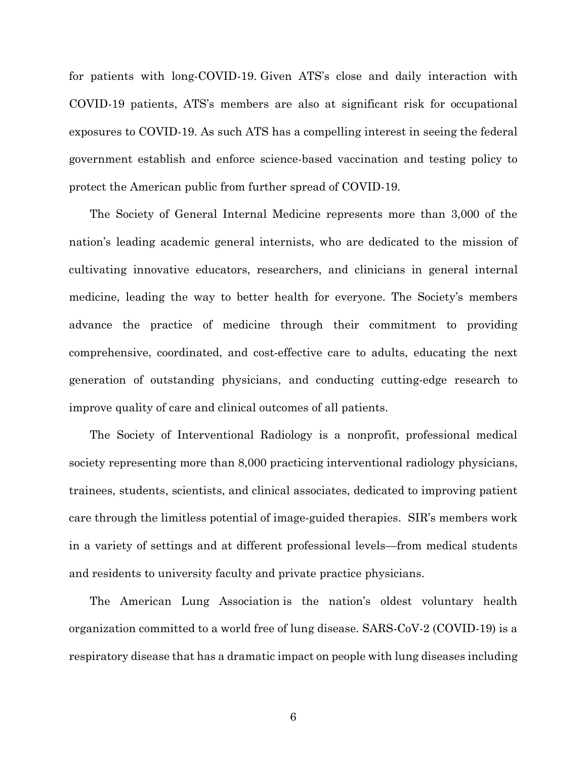for patients with long-COVID-19. Given ATS's close and daily interaction with COVID-19 patients, ATS's members are also at significant risk for occupational exposures to COVID-19. As such ATS has a compelling interest in seeing the federal government establish and enforce science-based vaccination and testing policy to protect the American public from further spread of COVID-19.

The Society of General Internal Medicine represents more than 3,000 of the nation's leading academic general internists, who are dedicated to the mission of cultivating innovative educators, researchers, and clinicians in general internal medicine, leading the way to better health for everyone. The Society's members advance the practice of medicine through their commitment to providing comprehensive, coordinated, and cost-effective care to adults, educating the next generation of outstanding physicians, and conducting cutting-edge research to improve quality of care and clinical outcomes of all patients.

The Society of Interventional Radiology is a nonprofit, professional medical society representing more than 8,000 practicing interventional radiology physicians, trainees, students, scientists, and clinical associates, dedicated to improving patient care through the limitless potential of image-guided therapies. SIR's members work in a variety of settings and at different professional levels—from medical students and residents to university faculty and private practice physicians.

The American Lung Association is the nation's oldest voluntary health organization committed to a world free of lung disease. SARS-CoV-2 (COVID-19) is a respiratory disease that has a dramatic impact on people with lung diseases including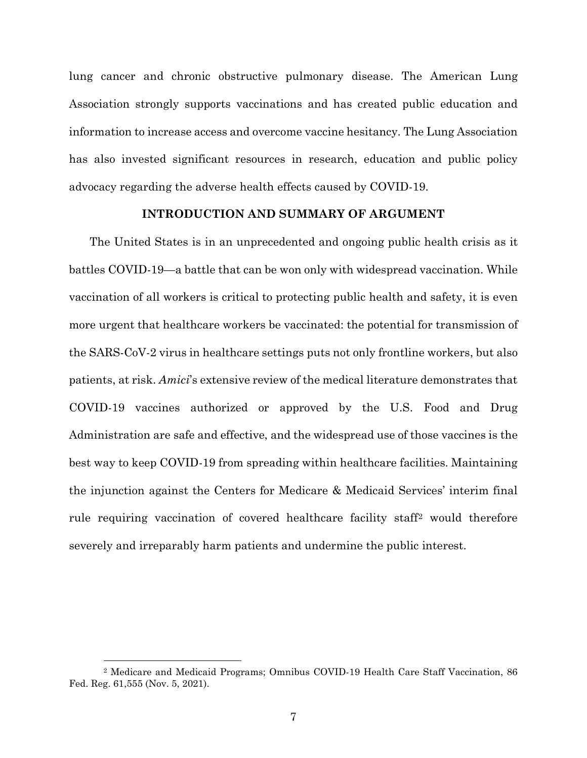lung cancer and chronic obstructive pulmonary disease. The American Lung Association strongly supports vaccinations and has created public education and information to increase access and overcome vaccine hesitancy. The Lung Association has also invested significant resources in research, education and public policy advocacy regarding the adverse health effects caused by COVID-19.

#### **INTRODUCTION AND SUMMARY OF ARGUMENT**

<span id="page-17-0"></span>The United States is in an unprecedented and ongoing public health crisis as it battles COVID-19—a battle that can be won only with widespread vaccination. While vaccination of all workers is critical to protecting public health and safety, it is even more urgent that healthcare workers be vaccinated: the potential for transmission of the SARS-CoV-2 virus in healthcare settings puts not only frontline workers, but also patients, at risk. *Amici*'s extensive review of the medical literature demonstrates that COVID-19 vaccines authorized or approved by the U.S. Food and Drug Administration are safe and effective, and the widespread use of those vaccines is the best way to keep COVID-19 from spreading within healthcare facilities. Maintaining the injunction against the Centers for Medicare & Medicaid Services' interim final rule requiring vaccination of covered healthcare facility staff[2](#page-17-1) would therefore severely and irreparably harm patients and undermine the public interest.

<span id="page-17-1"></span><sup>2</sup> Medicare and Medicaid Programs; Omnibus COVID-19 Health Care Staff Vaccination, 86 Fed. Reg. 61,555 (Nov. 5, 2021).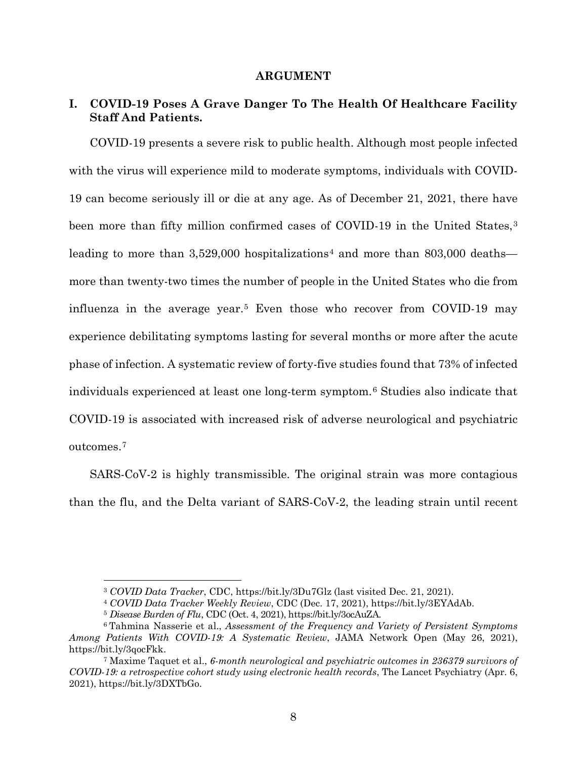#### **ARGUMENT**

### <span id="page-18-1"></span><span id="page-18-0"></span>**I. COVID-19 Poses A Grave Danger To The Health Of Healthcare Facility Staff And Patients.**

COVID-19 presents a severe risk to public health. Although most people infected with the virus will experience mild to moderate symptoms, individuals with COVID-19 can become seriously ill or die at any age. As of December 21, 2021, there have been more than fifty million confirmed cases of COVID-19 in the United States,<sup>[3](#page-18-2)</sup> leading to more than  $3,529,000$  hospitalizations<sup>[4](#page-18-3)</sup> and more than  $803,000$  deaths more than twenty-two times the number of people in the United States who die from influenza in the average year.[5](#page-18-4) Even those who recover from COVID-19 may experience debilitating symptoms lasting for several months or more after the acute phase of infection. A systematic review of forty-five studies found that 73% of infected individuals experienced at least one long-term symptom.[6](#page-18-5) Studies also indicate that COVID-19 is associated with increased risk of adverse neurological and psychiatric outcomes.[7](#page-18-6)

SARS-CoV-2 is highly transmissible. The original strain was more contagious than the flu, and the Delta variant of SARS-CoV-2, the leading strain until recent

<sup>3</sup> *COVID Data Tracker*, CDC, https://bit.ly/3Du7Glz (last visited Dec. 21, 2021). 4 *COVID Data Tracker Weekly Review*, CDC (Dec. 17, 2021), https://bit.ly/3EYAdAb.

<span id="page-18-5"></span><span id="page-18-4"></span><span id="page-18-3"></span><span id="page-18-2"></span><sup>5</sup> *Disease Burden of Flu*, CDC (Oct. 4, 2021), https://bit.ly/3ocAuZA. 6 Tahmina Nasserie et al., *Assessment of the Frequency and Variety of Persistent Symptoms Among Patients With COVID-19: A Systematic Review*, JAMA Network Open (May 26, 2021), https://bit.ly/3qocFkk.

<span id="page-18-6"></span><sup>7</sup> Maxime Taquet et al., *6-month neurological and psychiatric outcomes in 236379 survivors of COVID-19: a retrospective cohort study using electronic health records*, The Lancet Psychiatry (Apr. 6, 2021), https://bit.ly/3DXTbGo.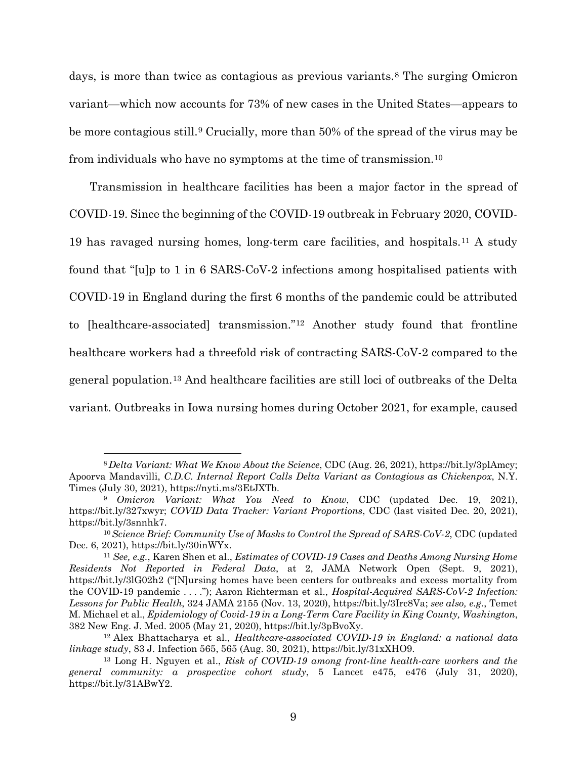days, is more than twice as contagious as previous variants.<sup>[8](#page-19-0)</sup> The surging Omicron variant—which now accounts for 73% of new cases in the United States—appears to be more contagious still.[9](#page-19-1) Crucially, more than 50% of the spread of the virus may be from individuals who have no symptoms at the time of transmission.[10](#page-19-2) 

Transmission in healthcare facilities has been a major factor in the spread of COVID-19. Since the beginning of the COVID-19 outbreak in February 2020, COVID-19 has ravaged nursing homes, long-term care facilities, and hospitals.[11](#page-19-3) A study found that "[u]p to 1 in 6 SARS-CoV-2 infections among hospitalised patients with COVID-19 in England during the first 6 months of the pandemic could be attributed to [healthcare-associated] transmission."[12](#page-19-4) Another study found that frontline healthcare workers had a threefold risk of contracting SARS-CoV-2 compared to the general population.[13](#page-19-5) And healthcare facilities are still loci of outbreaks of the Delta variant. Outbreaks in Iowa nursing homes during October 2021, for example, caused

<span id="page-19-0"></span><sup>8</sup>*Delta Variant: What We Know About the Science*, CDC (Aug. 26, 2021), https://bit.ly/3plAmcy; Apoorva Mandavilli, *C.D.C. Internal Report Calls Delta Variant as Contagious as Chickenpox*, N.Y. Times (July 30, 2021), [https://nyti.ms/3EtJXTb.](https://nyti.ms/3EtJXTb)<br><sup>9</sup> *Omicron Variant: What You Need to Know*, CDC (updated Dec. 19, 2021),

<span id="page-19-1"></span>https://bit.ly/327xwyr; *COVID Data Tracker: Variant Proportions*, CDC (last visited Dec. 20, 2021), https://bit.ly/3snnhk7. 10*Science Brief: Community Use of Masks to Control the Spread of SARS-CoV-2*, CDC (updated

<span id="page-19-2"></span>Dec. 6, 2021), https://bit.ly/30inWYx.

<span id="page-19-3"></span><sup>11</sup> *See, e.g.*, Karen Shen et al., *Estimates of COVID-19 Cases and Deaths Among Nursing Home Residents Not Reported in Federal Data*, at 2, JAMA Network Open (Sept. 9, 2021), https://bit.ly/3lG02h2 ("[N]ursing homes have been centers for outbreaks and excess mortality from the COVID-19 pandemic . . . ."); Aaron Richterman et al., *Hospital-Acquired SARS-CoV-2 Infection: Lessons for Public Health*, 324 JAMA 2155 (Nov. 13, 2020), https://bit.ly/3Irc8Va; *see also, e.g.*, Temet M. Michael et al., *Epidemiology of Covid-19 in a Long-Term Care Facility in King County, Washington*, 382 New Eng. J. Med. 2005 (May 21, 2020), https://bit.ly/3pBvoXy.

<span id="page-19-4"></span><sup>12</sup> Alex Bhattacharya et al., *Healthcare-associated COVID-19 in England: a national data linkage study*, 83 J. Infection 565, 565 (Aug. 30, 2021), https://bit.ly/31xXHO9.

<span id="page-19-5"></span><sup>13</sup> Long H. Nguyen et al., *Risk of COVID-19 among front-line health-care workers and the general community: a prospective cohort study*, 5 Lancet e475, e476 (July 31, 2020), https://bit.ly/31ABwY2.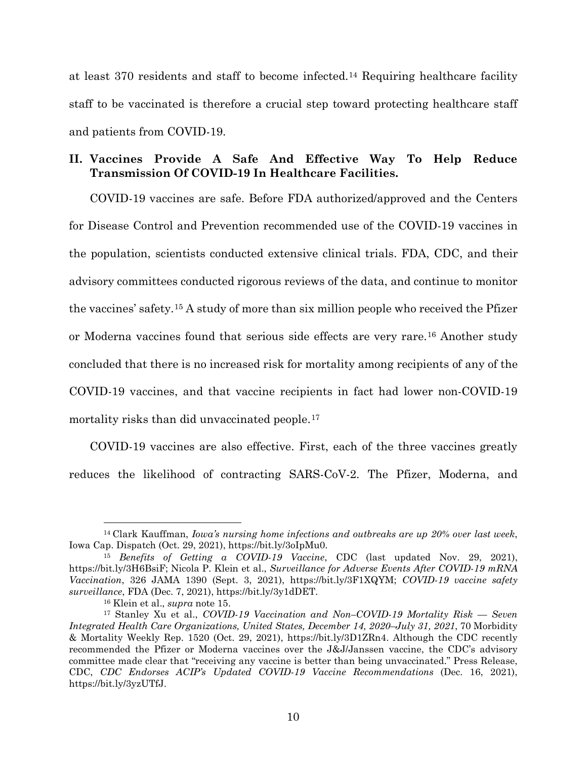at least 370 residents and staff to become infected.[14](#page-20-1) Requiring healthcare facility staff to be vaccinated is therefore a crucial step toward protecting healthcare staff and patients from COVID-19.

### <span id="page-20-0"></span>**II. Vaccines Provide A Safe And Effective Way To Help Reduce Transmission Of COVID-19 In Healthcare Facilities.**

COVID-19 vaccines are safe. Before FDA authorized/approved and the Centers for Disease Control and Prevention recommended use of the COVID-19 vaccines in the population, scientists conducted extensive clinical trials. FDA, CDC, and their advisory committees conducted rigorous reviews of the data, and continue to monitor the vaccines' safety.[15](#page-20-2) A study of more than six million people who received the Pfizer or Moderna vaccines found that serious side effects are very rare.[16](#page-20-3) Another study concluded that there is no increased risk for mortality among recipients of any of the COVID-19 vaccines, and that vaccine recipients in fact had lower non-COVID-19 mortality risks than did unvaccinated people.<sup>[17](#page-20-4)</sup>

COVID-19 vaccines are also effective. First, each of the three vaccines greatly reduces the likelihood of contracting SARS-CoV-2. The Pfizer, Moderna, and

<span id="page-20-1"></span><sup>14</sup> Clark Kauffman, *Iowa's nursing home infections and outbreaks are up 20% over last week*, Iowa Cap. Dispatch (Oct. 29, 2021), https://bit.ly/3oIpMu0.

<span id="page-20-2"></span><sup>15</sup> *Benefits of Getting a COVID-19 Vaccine*, CDC (last updated Nov. 29, 2021), https://bit.ly/3H6BsiF; Nicola P. Klein et al., *Surveillance for Adverse Events After COVID-19 mRNA Vaccination*, 326 JAMA 1390 (Sept. 3, 2021), https://bit.ly/3F1XQYM; *COVID-19 vaccine safety surveillance*, FDA (Dec. 7, 2021), https://bit.ly/3y1dDET.

<sup>16</sup> Klein et al., *supra* note 15.

<span id="page-20-4"></span><span id="page-20-3"></span><sup>17</sup> Stanley Xu et al., *COVID-19 Vaccination and Non–COVID-19 Mortality Risk — Seven Integrated Health Care Organizations, United States, December 14, 2020–July 31, 2021*, 70 Morbidity & Mortality Weekly Rep. 1520 (Oct. 29, 2021), https://bit.ly/3D1ZRn4. Although the CDC recently recommended the Pfizer or Moderna vaccines over the J&J/Janssen vaccine, the CDC's advisory committee made clear that "receiving any vaccine is better than being unvaccinated." Press Release, CDC, *CDC Endorses ACIP's Updated COVID-19 Vaccine Recommendations* (Dec. 16, 2021), https://bit.ly/3yzUTfJ.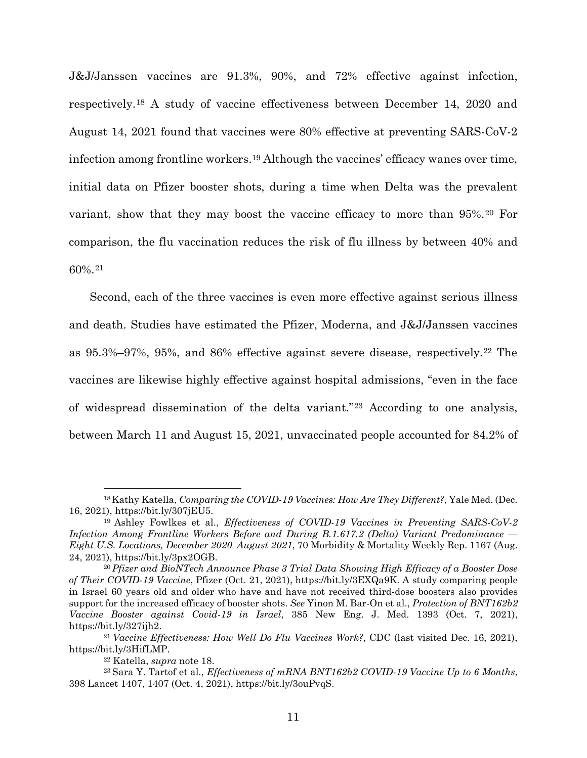J&J/Janssen vaccines are 91.3%, 90%, and 72% effective against infection, respectively.[18](#page-21-0) A study of vaccine effectiveness between December 14, 2020 and August 14, 2021 found that vaccines were 80% effective at preventing SARS-CoV-2 infection among frontline workers.[19](#page-21-1) Although the vaccines' efficacy wanes over time, initial data on Pfizer booster shots, during a time when Delta was the prevalent variant, show that they may boost the vaccine efficacy to more than 95%.[20](#page-21-2) For comparison, the flu vaccination reduces the risk of flu illness by between 40% and 60%.[21](#page-21-3)

Second, each of the three vaccines is even more effective against serious illness and death. Studies have estimated the Pfizer, Moderna, and J&J/Janssen vaccines as 95.3%–97%, 95%, and 86% effective against severe disease, respectively.[22](#page-21-4) The vaccines are likewise highly effective against hospital admissions, "even in the face of widespread dissemination of the delta variant."[23](#page-21-5) According to one analysis, between March 11 and August 15, 2021, unvaccinated people accounted for 84.2% of

<span id="page-21-0"></span><sup>18</sup>Kathy Katella, *Comparing the COVID-19 Vaccines: How Are They Different?*, Yale Med. (Dec. 16, 2021), https://bit.ly/307jEU5.

<span id="page-21-1"></span><sup>19</sup> Ashley Fowlkes et al., *Effectiveness of COVID-19 Vaccines in Preventing SARS-CoV-2 Infection Among Frontline Workers Before and During B.1.617.2 (Delta) Variant Predominance — Eight U.S. Locations, December 2020–August 2021*, 70 Morbidity & Mortality Weekly Rep. 1167 (Aug. 24, 2021), https://bit.ly/3px2OGB.

<span id="page-21-2"></span><sup>20</sup> *Pfizer and BioNTech Announce Phase 3 Trial Data Showing High Efficacy of a Booster Dose of Their COVID-19 Vaccine*, Pfizer (Oct. 21, 2021), https://bit.ly/3EXQa9K. A study comparing people in Israel 60 years old and older who have and have not received third-dose boosters also provides support for the increased efficacy of booster shots. *See* Yinon M. Bar-On et al., *Protection of BNT162b2 Vaccine Booster against Covid-19 in Israel*, 385 New Eng. J. Med. 1393 (Oct. 7, 2021),

<span id="page-21-3"></span>https://bit.ly/327ijh2. 21 *Vaccine Effectiveness: How Well Do Flu Vaccines Work?*, CDC (last visited Dec. 16, 2021), https://bit.ly/3HifLMP.

<sup>22</sup> Katella, *supra* note 18.

<span id="page-21-5"></span><span id="page-21-4"></span><sup>23</sup> Sara Y. Tartof et al., *Effectiveness of mRNA BNT162b2 COVID-19 Vaccine Up to 6 Months*, 398 Lancet 1407, 1407 (Oct. 4, 2021), https://bit.ly/3ouPvqS.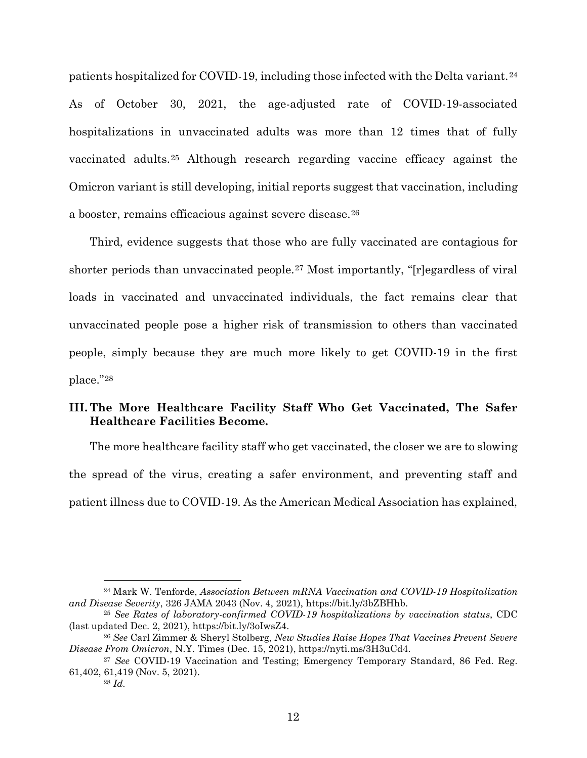patients hospitalized for COVID-19, including those infected with the Delta variant.[24](#page-22-1) As of October 30, 2021, the age-adjusted rate of COVID-19-associated hospitalizations in unvaccinated adults was more than 12 times that of fully vaccinated adults.[25](#page-22-2) Although research regarding vaccine efficacy against the Omicron variant is still developing, initial reports suggest that vaccination, including a booster, remains efficacious against severe disease.[26](#page-22-3)

Third, evidence suggests that those who are fully vaccinated are contagious for shorter periods than unvaccinated people.[27](#page-22-4) Most importantly, "[r]egardless of viral loads in vaccinated and unvaccinated individuals, the fact remains clear that unvaccinated people pose a higher risk of transmission to others than vaccinated people, simply because they are much more likely to get COVID-19 in the first place."[28](#page-22-5)

## <span id="page-22-0"></span>**III. The More Healthcare Facility Staff Who Get Vaccinated, The Safer Healthcare Facilities Become.**

The more healthcare facility staff who get vaccinated, the closer we are to slowing the spread of the virus, creating a safer environment, and preventing staff and patient illness due to COVID-19. As the American Medical Association has explained,

<span id="page-22-1"></span><sup>24</sup> Mark W. Tenforde, *Association Between mRNA Vaccination and COVID-19 Hospitalization and Disease Severity*, 326 JAMA 2043 (Nov. 4, 2021), https://bit.ly/3bZBHhb.

<span id="page-22-2"></span><sup>25</sup> *See Rates of laboratory-confirmed COVID-19 hospitalizations by vaccination status*, CDC (last updated Dec. 2, 2021), https://bit.ly/3oIwsZ4.

<span id="page-22-3"></span><sup>26</sup> *See* Carl Zimmer & Sheryl Stolberg, *New Studies Raise Hopes That Vaccines Prevent Severe Disease From Omicron*, N.Y. Times (Dec. 15, 2021), https://nyti.ms/3H3uCd4.<br><sup>27</sup> *See* COVID-19 Vaccination and Testing; Emergency Temporary Standard, 86 Fed. Reg.

<span id="page-22-5"></span><span id="page-22-4"></span><sup>61,402, 61,419 (</sup>Nov. 5, 2021).

<sup>28</sup> *Id.*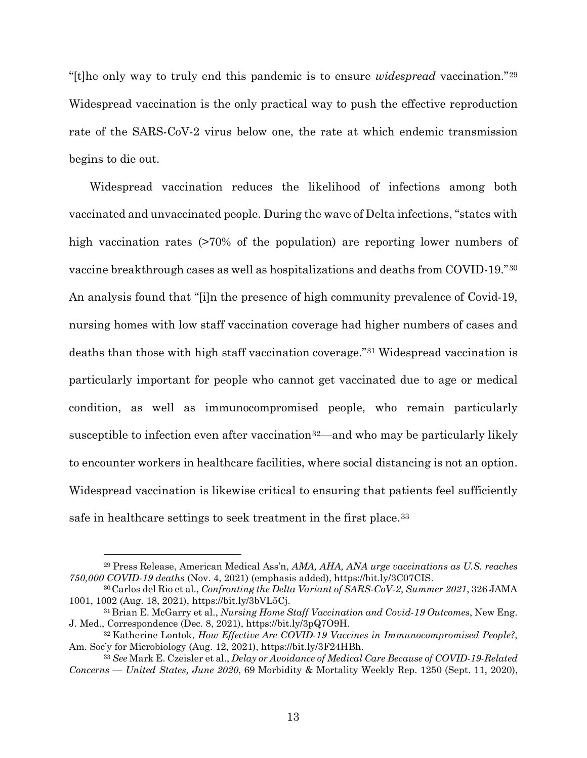"[t]he only way to truly end this pandemic is to ensure *widespread* vaccination."[29](#page-23-0) Widespread vaccination is the only practical way to push the effective reproduction rate of the SARS-CoV-2 virus below one, the rate at which endemic transmission begins to die out.

Widespread vaccination reduces the likelihood of infections among both vaccinated and unvaccinated people. During the wave of Delta infections, "states with high vaccination rates (>70% of the population) are reporting lower numbers of vaccine breakthrough cases as well as hospitalizations and deaths from COVID-19."[30](#page-23-1) An analysis found that "[i]n the presence of high community prevalence of Covid-19, nursing homes with low staff vaccination coverage had higher numbers of cases and deaths than those with high staff vaccination coverage."[31](#page-23-2) Widespread vaccination is particularly important for people who cannot get vaccinated due to age or medical condition, as well as immunocompromised people, who remain particularly susceptible to infection even after vaccination<sup>[32](#page-23-3)</sup>—and who may be particularly likely to encounter workers in healthcare facilities, where social distancing is not an option. Widespread vaccination is likewise critical to ensuring that patients feel sufficiently safe in healthcare settings to seek treatment in the first place.<sup>[33](#page-23-4)</sup>

<span id="page-23-0"></span><sup>29</sup> Press Release, American Medical Ass'n, *AMA, AHA, ANA urge vaccinations as U.S. reaches 750,000 COVID-19 deaths* (Nov. 4, 2021) (emphasis added), https://bit.ly/3C07CIS.

<span id="page-23-1"></span><sup>30</sup>Carlos del Rio et al., *Confronting the Delta Variant of SARS-CoV-2*, *Summer 2021*, 326 JAMA 1001, 1002 (Aug. 18, 2021), https://bit.ly/3bVL5Cj.

<span id="page-23-2"></span><sup>31</sup> Brian E. McGarry et al., *Nursing Home Staff Vaccination and Covid-19 Outcomes*, New Eng. J. Med., Correspondence (Dec. 8, 2021), https://bit.ly/3pQ7O9H.

<span id="page-23-3"></span><sup>32</sup> Katherine Lontok, *How Effective Are COVID-19 Vaccines in Immunocompromised People?*, Am. Soc'y for Microbiology (Aug. 12, 2021), https://bit.ly/3F24HBh.

<span id="page-23-4"></span><sup>33</sup> *See* Mark E. Czeisler et al., *Delay or Avoidance of Medical Care Because of COVID-19-Related Concerns — United States, June 2020*, 69 Morbidity & Mortality Weekly Rep. 1250 (Sept. 11, 2020),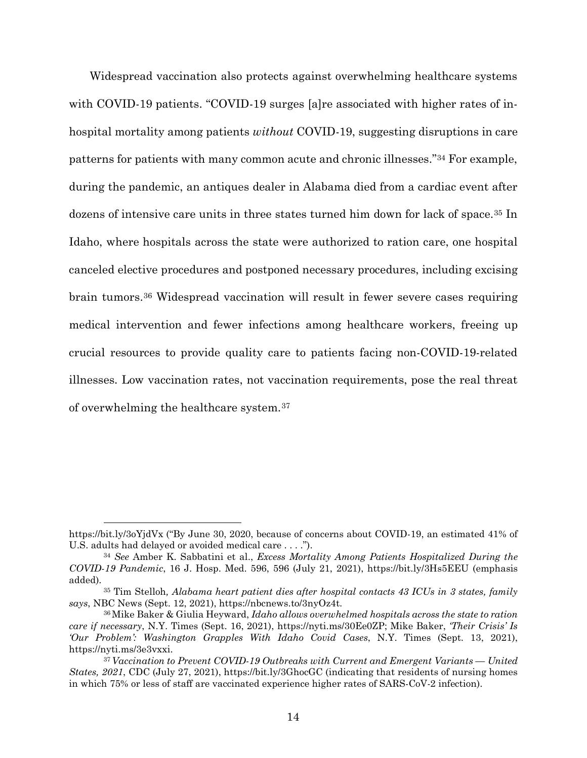Widespread vaccination also protects against overwhelming healthcare systems with COVID-19 patients. "COVID-19 surges [a]re associated with higher rates of inhospital mortality among patients *without* COVID-19, suggesting disruptions in care patterns for patients with many common acute and chronic illnesses."[34](#page-24-0) For example, during the pandemic, an antiques dealer in Alabama died from a cardiac event after dozens of intensive care units in three states turned him down for lack of space.[35](#page-24-1) In Idaho, where hospitals across the state were authorized to ration care, one hospital canceled elective procedures and postponed necessary procedures, including excising brain tumors.[36](#page-24-2) Widespread vaccination will result in fewer severe cases requiring medical intervention and fewer infections among healthcare workers, freeing up crucial resources to provide quality care to patients facing non-COVID-19-related illnesses. Low vaccination rates, not vaccination requirements, pose the real threat of overwhelming the healthcare system.[37](#page-24-3) 

https://bit.ly/3oYjdVx ("By June 30, 2020, because of concerns about COVID-19, an estimated 41% of U.S. adults had delayed or avoided medical care . . . .").

<span id="page-24-0"></span><sup>34</sup> *See* Amber K. Sabbatini et al., *Excess Mortality Among Patients Hospitalized During the COVID-19 Pandemic*, 16 J. Hosp. Med. 596, 596 (July 21, 2021), https://bit.ly/3Hs5EEU (emphasis added).

<span id="page-24-1"></span><sup>35</sup> Tim Stelloh*, Alabama heart patient dies after hospital contacts 43 ICUs in 3 states, family says*, NBC News (Sept. 12, 2021), https://nbcnews.to/3nyOz4t.

<span id="page-24-2"></span><sup>36</sup>Mike Baker & Giulia Heyward, *Idaho allows overwhelmed hospitals across the state to ration care if necessary*, N.Y. Times (Sept. 16, 2021), https://nyti.ms/30Ee0ZP; Mike Baker, *'Their Crisis' Is 'Our Problem': Washington Grapples With Idaho Covid Cases*, N.Y. Times (Sept. 13, 2021), https://nyti.ms/3e3vxxi. 37 *Vaccination to Prevent COVID-19 Outbreaks with Current and Emergent Variants — United* 

<span id="page-24-3"></span>*States, 2021*, CDC (July 27, 2021), https://bit.ly/3GhocGC (indicating that residents of nursing homes in which 75% or less of staff are vaccinated experience higher rates of SARS-CoV-2 infection).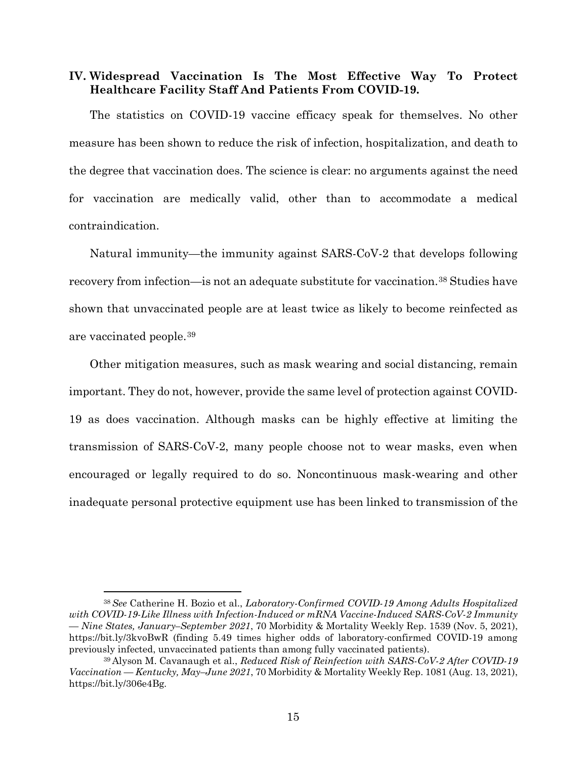### <span id="page-25-0"></span>**IV. Widespread Vaccination Is The Most Effective Way To Protect Healthcare Facility Staff And Patients From COVID-19.**

The statistics on COVID-19 vaccine efficacy speak for themselves. No other measure has been shown to reduce the risk of infection, hospitalization, and death to the degree that vaccination does. The science is clear: no arguments against the need for vaccination are medically valid, other than to accommodate a medical contraindication.

Natural immunity—the immunity against SARS-CoV-2 that develops following recovery from infection—is not an adequate substitute for vaccination.[38](#page-25-1) Studies have shown that unvaccinated people are at least twice as likely to become reinfected as are vaccinated people.[39](#page-25-2)

Other mitigation measures, such as mask wearing and social distancing, remain important. They do not, however, provide the same level of protection against COVID-19 as does vaccination. Although masks can be highly effective at limiting the transmission of SARS-CoV-2, many people choose not to wear masks, even when encouraged or legally required to do so. Noncontinuous mask-wearing and other inadequate personal protective equipment use has been linked to transmission of the

<span id="page-25-1"></span><sup>38</sup> *See* Catherine H. Bozio et al., *Laboratory-Confirmed COVID-19 Among Adults Hospitalized with COVID-19-Like Illness with Infection-Induced or mRNA Vaccine-Induced SARS-CoV-2 Immunity — Nine States, January–September 2021*, 70 Morbidity & Mortality Weekly Rep. 1539 (Nov. 5, 2021), https://bit.ly/3kvoBwR (finding 5.49 times higher odds of laboratory-confirmed COVID-19 among previously infected, unvaccinated patients than among fully vaccinated patients).

<span id="page-25-2"></span><sup>39</sup> Alyson M. Cavanaugh et al., *Reduced Risk of Reinfection with SARS-CoV-2 After COVID-19 Vaccination — Kentucky, May–June 2021*, 70 Morbidity & Mortality Weekly Rep. 1081 (Aug. 13, 2021), https://bit.ly/306e4Bg.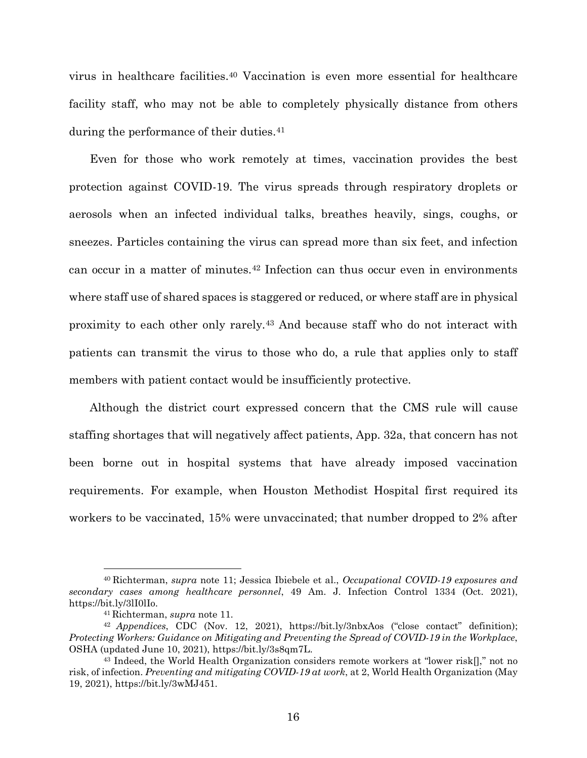virus in healthcare facilities.[40](#page-26-0) Vaccination is even more essential for healthcare facility staff, who may not be able to completely physically distance from others during the performance of their duties.<sup>[41](#page-26-1)</sup>

Even for those who work remotely at times, vaccination provides the best protection against COVID-19. The virus spreads through respiratory droplets or aerosols when an infected individual talks, breathes heavily, sings, coughs, or sneezes. Particles containing the virus can spread more than six feet, and infection can occur in a matter of minutes.[42](#page-26-2) Infection can thus occur even in environments where staff use of shared spaces is staggered or reduced, or where staff are in physical proximity to each other only rarely.[43](#page-26-3) And because staff who do not interact with patients can transmit the virus to those who do, a rule that applies only to staff members with patient contact would be insufficiently protective.

Although the district court expressed concern that the CMS rule will cause staffing shortages that will negatively affect patients, App. 32a, that concern has not been borne out in hospital systems that have already imposed vaccination requirements. For example, when Houston Methodist Hospital first required its workers to be vaccinated, 15% were unvaccinated; that number dropped to 2% after

<span id="page-26-0"></span><sup>40</sup> Richterman, *supra* note 11; Jessica Ibiebele et al., *Occupational COVID-19 exposures and secondary cases among healthcare personnel*, 49 Am. J. Infection Control 1334 (Oct. 2021), https://bit.ly/3lI0lIo.

<span id="page-26-2"></span><span id="page-26-1"></span><sup>41</sup> Richterman, *supra* note 11. 42 *Appendices*, CDC (Nov. 12, 2021), https://bit.ly/3nbxAos ("close contact" definition); *Protecting Workers: Guidance on Mitigating and Preventing the Spread of COVID-19 in the Workplace*, OSHA (updated June 10, 2021), https://bit.ly/3s8qm7L.

<span id="page-26-3"></span><sup>43</sup> Indeed, the World Health Organization considers remote workers at "lower risk[]," not no risk, of infection. *Preventing and mitigating COVID-19 at work*, at 2, World Health Organization (May 19, 2021), https://bit.ly/3wMJ451.